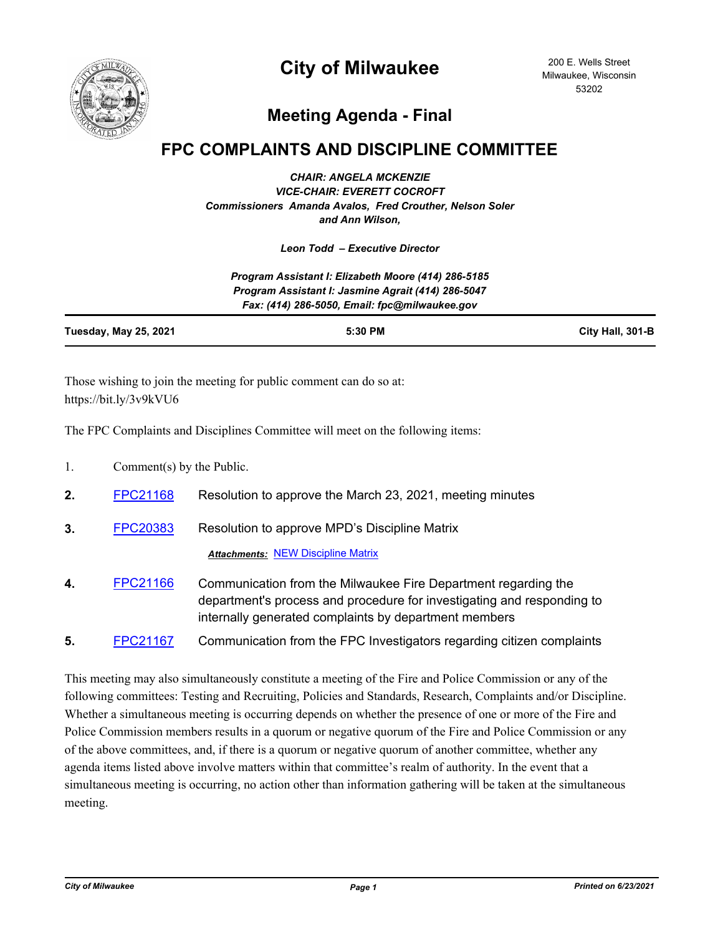

## **City of Milwaukee**

200 E. Wells Street Milwaukee, Wisconsin 53202

## **Meeting Agenda - Final**

## **FPC COMPLAINTS AND DISCIPLINE COMMITTEE**

*CHAIR: ANGELA MCKENZIE VICE-CHAIR: EVERETT COCROFT Commissioners Amanda Avalos, Fred Crouther, Nelson Soler and Ann Wilson,*

*Leon Todd – Executive Director*

*Program Assistant I: Elizabeth Moore (414) 286-5185 Program Assistant I: Jasmine Agrait (414) 286-5047 Fax: (414) 286-5050, Email: fpc@milwaukee.gov*

| <b>Tuesday, May 25, 2021</b> | 5:30 PM | City Hall, 301-B |
|------------------------------|---------|------------------|

Those wishing to join the meeting for public comment can do so at: https://bit.ly/3v9kVU6

The FPC Complaints and Disciplines Committee will meet on the following items:

- 1. Comment(s) by the Public.
- **2.** [FPC21168](http://milwaukee.legistar.com/gateway.aspx?m=l&id=/matter.aspx?key=57212) Resolution to approve the March 23, 2021, meeting minutes
- **3.** [FPC20383](http://milwaukee.legistar.com/gateway.aspx?m=l&id=/matter.aspx?key=55732) Resolution to approve MPD's Discipline Matrix *Attachments:* [NEW Discipline Matrix](http://Milwaukee.legistar.com/gateway.aspx?M=F&ID=91cfa197-10d8-4ddd-b8a1-dd6840722aa9.pdf)
- **4.** [FPC21166](http://milwaukee.legistar.com/gateway.aspx?m=l&id=/matter.aspx?key=57208) Communication from the Milwaukee Fire Department regarding the department's process and procedure for investigating and responding to internally generated complaints by department members
- **5.** [FPC21167](http://milwaukee.legistar.com/gateway.aspx?m=l&id=/matter.aspx?key=57211) Communication from the FPC Investigators regarding citizen complaints

This meeting may also simultaneously constitute a meeting of the Fire and Police Commission or any of the following committees: Testing and Recruiting, Policies and Standards, Research, Complaints and/or Discipline. Whether a simultaneous meeting is occurring depends on whether the presence of one or more of the Fire and Police Commission members results in a quorum or negative quorum of the Fire and Police Commission or any of the above committees, and, if there is a quorum or negative quorum of another committee, whether any agenda items listed above involve matters within that committee's realm of authority. In the event that a simultaneous meeting is occurring, no action other than information gathering will be taken at the simultaneous meeting.